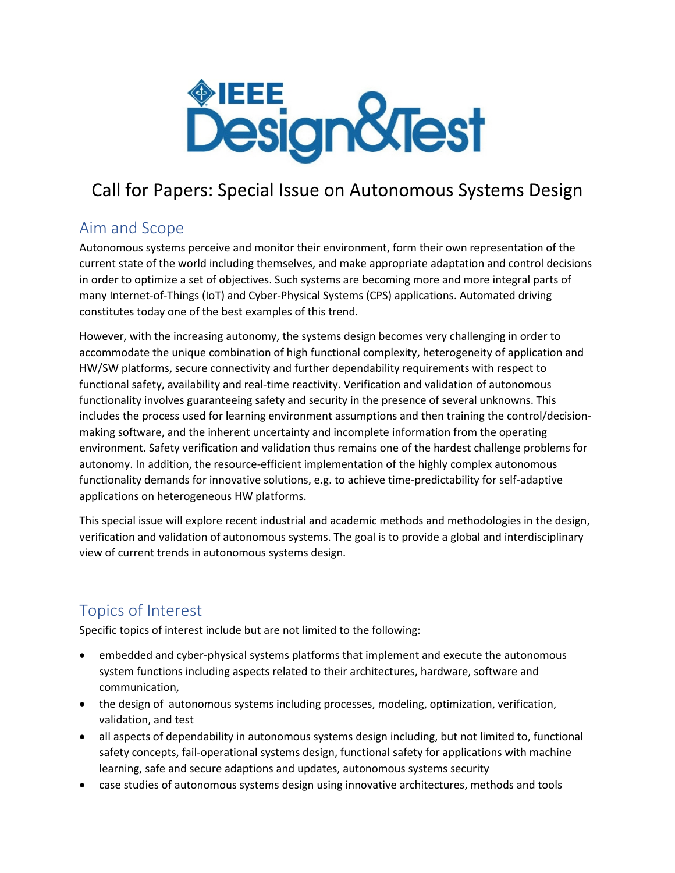

# Call for Papers: Special Issue on Autonomous Systems Design

### Aim and Scope

Autonomous systems perceive and monitor their environment, form their own representation of the current state of the world including themselves, and make appropriate adaptation and control decisions in order to optimize a set of objectives. Such systems are becoming more and more integral parts of many Internet-of-Things (IoT) and Cyber-Physical Systems (CPS) applications. Automated driving constitutes today one of the best examples of this trend.

However, with the increasing autonomy, the systems design becomes very challenging in order to accommodate the unique combination of high functional complexity, heterogeneity of application and HW/SW platforms, secure connectivity and further dependability requirements with respect to functional safety, availability and real-time reactivity. Verification and validation of autonomous functionality involves guaranteeing safety and security in the presence of several unknowns. This includes the process used for learning environment assumptions and then training the control/decisionmaking software, and the inherent uncertainty and incomplete information from the operating environment. Safety verification and validation thus remains one of the hardest challenge problems for autonomy. In addition, the resource-efficient implementation of the highly complex autonomous functionality demands for innovative solutions, e.g. to achieve time-predictability for self-adaptive applications on heterogeneous HW platforms.

This special issue will explore recent industrial and academic methods and methodologies in the design, verification and validation of autonomous systems. The goal is to provide a global and interdisciplinary view of current trends in autonomous systems design.

## Topics of Interest

Specific topics of interest include but are not limited to the following:

- embedded and cyber-physical systems platforms that implement and execute the autonomous system functions including aspects related to their architectures, hardware, software and communication,
- the design of autonomous systems including processes, modeling, optimization, verification, validation, and test
- all aspects of dependability in autonomous systems design including, but not limited to, functional safety concepts, fail-operational systems design, functional safety for applications with machine learning, safe and secure adaptions and updates, autonomous systems security
- case studies of autonomous systems design using innovative architectures, methods and tools